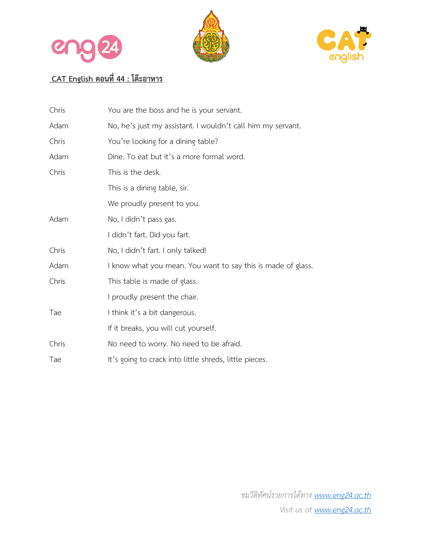





## **CAT English ตอนที่44 : โต๊ะอาหาร**

| Chris | You are the boss and he is your servant.                     |  |
|-------|--------------------------------------------------------------|--|
| Adam  | No, he's just my assistant. I wouldn't call him my servant.  |  |
| Chris | You're looking for a dining table?                           |  |
| Adam  | Dine. To eat but it's a more formal word.                    |  |
| Chris | This is the desk.                                            |  |
|       | This is a dining table, sir.                                 |  |
|       | We proudly present to you.                                   |  |
| Adam  | No, I didn't pass gas.                                       |  |
|       | I didn't fart. Did you fart.                                 |  |
| Chris | No, I didn't fart. I only talked!                            |  |
| Adam  | I know what you mean. You want to say this is made of glass. |  |
| Chris | This table is made of glass.                                 |  |
|       | I proudly present the chair.                                 |  |
| Tae   | I think it's a bit dangerous.                                |  |
|       | If it breaks, you will cut yourself.                         |  |
| Chris | No need to worry. No need to be afraid.                      |  |
| Tae   | It's going to crack into little shreds, little pieces.       |  |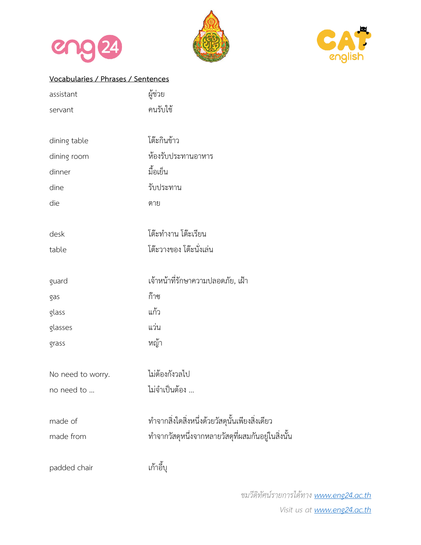





## **Vocabularies / Phrases / Sentences**

| assistant         | ผู้ช่วย                                            |
|-------------------|----------------------------------------------------|
| servant           | คนรับใช้                                           |
|                   |                                                    |
| dining table      | โต๊ะกินข้าว                                        |
| dining room       | ห้องรับประทานอาหาร                                 |
| dinner            | มื้อเย็น                                           |
| dine              | รับประทาน                                          |
| die               | ตาย                                                |
| desk              | โต๊ะทำงาน โต๊ะเรียน                                |
| table             | โต๊ะวางของ โต๊ะนั่งเล่น                            |
| guard             | เจ้าหน้าที่รักษาความปลอดภัย, เฝ้า                  |
| gas               | ก๊าซ                                               |
| glass             | แก้ว                                               |
| glasses           | แว่น                                               |
| grass             | หญ้า                                               |
| No need to worry. | ไม่ต้องกังวลไป                                     |
| no need to        | ไม่จำเป็นต้อง                                      |
| made of           | ทำจากสิ่งใดสิ่งหนึ่งด้วยวัสดุนั้นเพียงสิ่งเดียว    |
| made from         | ทำจากวัสดุหนึ่งจากหลายวัสดุที่ผสมกันอยู่ในสิ่งนั้น |
| padded chair      | เก้าอื้น                                           |
|                   |                                                    |

*ชมวีดิทัศน์รายการได้ทาง www.eng24.ac.th Visit us at www.eng24.ac.th*